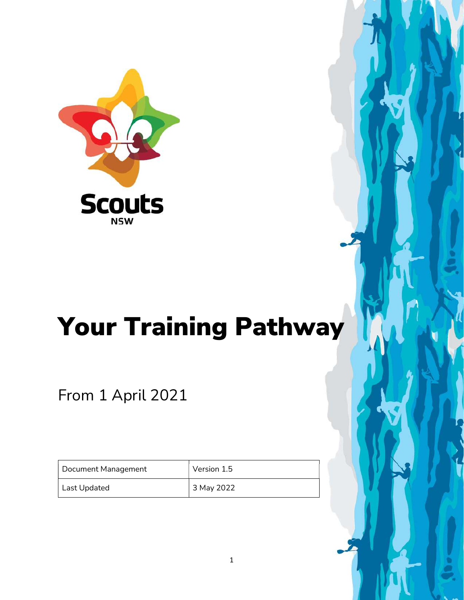

# Your Training Pathway

From 1 April 2021

| Document Management | Version 1.5 |
|---------------------|-------------|
| Last Updated        | 3 May 2022  |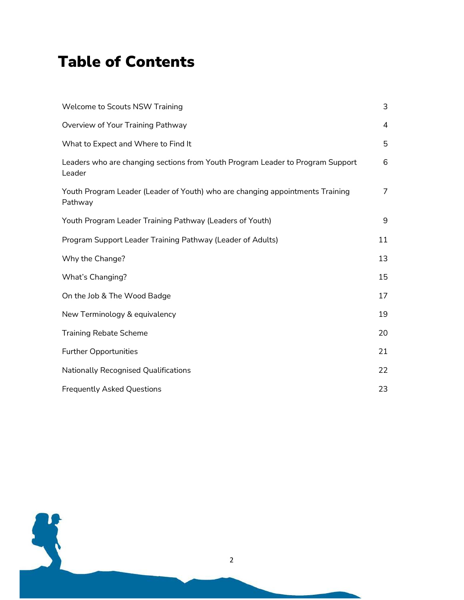#### Table of Contents

| Welcome to Scouts NSW Training                                                           | 3              |
|------------------------------------------------------------------------------------------|----------------|
| Overview of Your Training Pathway                                                        | $\overline{4}$ |
| What to Expect and Where to Find It                                                      | 5              |
| Leaders who are changing sections from Youth Program Leader to Program Support<br>Leader | 6              |
| Youth Program Leader (Leader of Youth) who are changing appointments Training<br>Pathway | $\overline{7}$ |
| Youth Program Leader Training Pathway (Leaders of Youth)                                 | 9              |
| Program Support Leader Training Pathway (Leader of Adults)                               | 11             |
| Why the Change?                                                                          | 13             |
| What's Changing?                                                                         | 15             |
| On the Job & The Wood Badge                                                              | 17             |
| New Terminology & equivalency                                                            | 19             |
| <b>Training Rebate Scheme</b>                                                            | 20             |
| <b>Further Opportunities</b>                                                             | 21             |
| <b>Nationally Recognised Qualifications</b>                                              | 22             |
| <b>Frequently Asked Questions</b>                                                        | 23             |

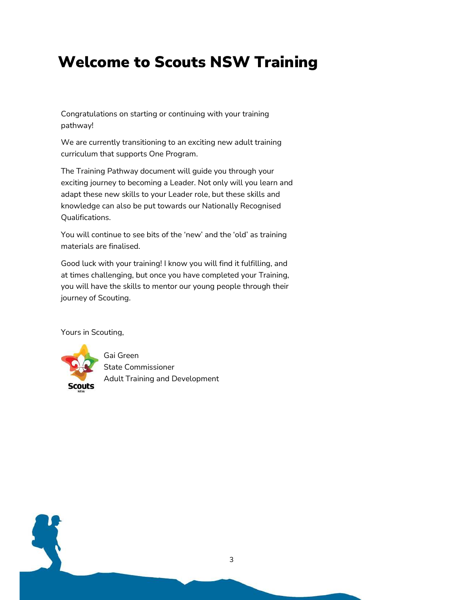#### Welcome to Scouts NSW Training

Congratulations on starting or continuing with your training pathway!

We are currently transitioning to an exciting new adult training curriculum that supports One Program.

The Training Pathway document will guide you through your exciting journey to becoming a Leader. Not only will you learn and adapt these new skills to your Leader role, but these skills and knowledge can also be put towards our Nationally Recognised Qualifications.

You will continue to see bits of the 'new' and the 'old' as training materials are finalised.

Good luck with your training! I know you will find it fulfilling, and at times challenging, but once you have completed your Training, you will have the skills to mentor our young people through their journey of Scouting.

Yours in Scouting,



Gai Green State Commissioner Adult Training and Development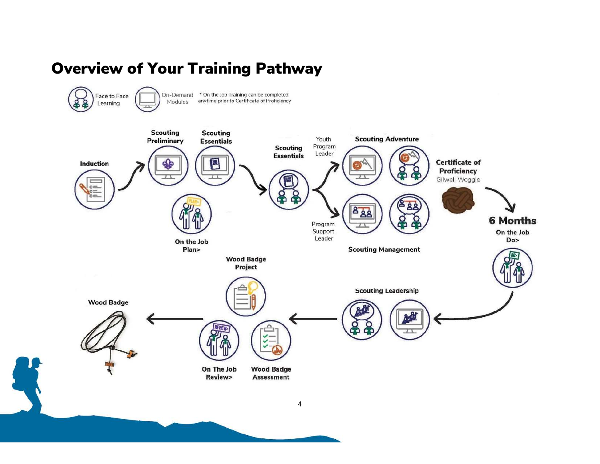#### Overview of Your Training Pathway

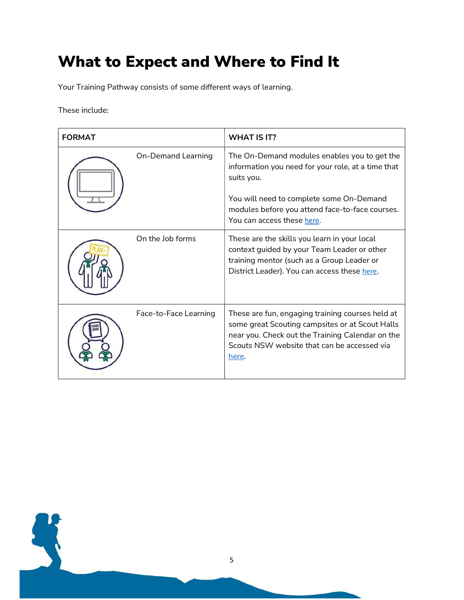### What to Expect and Where to Find It

Your Training Pathway consists of some different ways of learning.

These include:

| <b>FORMAT</b> |                           | <b>WHAT IS IT?</b>                                                                                                                                                                                                                            |
|---------------|---------------------------|-----------------------------------------------------------------------------------------------------------------------------------------------------------------------------------------------------------------------------------------------|
|               | <b>On-Demand Learning</b> | The On-Demand modules enables you to get the<br>information you need for your role, at a time that<br>suits you.<br>You will need to complete some On-Demand<br>modules before you attend face-to-face courses.<br>You can access these here. |
|               | On the Job forms          | These are the skills you learn in your local<br>context guided by your Team Leader or other<br>training mentor (such as a Group Leader or<br>District Leader). You can access these here.                                                     |
|               | Face-to-Face Learning     | These are fun, engaging training courses held at<br>some great Scouting campsites or at Scout Halls<br>near you. Check out the Training Calendar on the<br>Scouts NSW website that can be accessed via<br>here.                               |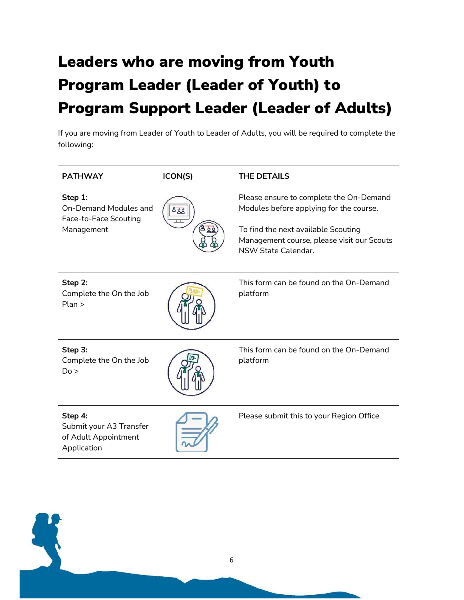## Leaders who are moving from Youth Program Leader (Leader of Youth) to Program Support Leader (Leader of Adults)

If you are moving from Leader of Youth to Leader of Adults, you will be required to complete the following:

| <b>PATHWAY</b>                                                                 | ICON(S) | <b>THE DETAILS</b>                                                                                                                                                                                    |
|--------------------------------------------------------------------------------|---------|-------------------------------------------------------------------------------------------------------------------------------------------------------------------------------------------------------|
| Step 1:<br><b>On-Demand Modules and</b><br>Face-to-Face Scouting<br>Management | த்த     | Please ensure to complete the On-Demand<br>Modules before applying for the course.<br>To find the next available Scouting<br>Management course, please visit our Scouts<br><b>NSW State Calendar.</b> |
| Step 2:<br>Complete the On the Job<br>Plan                                     |         | This form can be found on the On-Demand<br>platform                                                                                                                                                   |
| Step 3:<br>Complete the On the Job<br>Do >                                     |         | This form can be found on the On-Demand<br>platform                                                                                                                                                   |
| Step 4:<br>Submit your A3 Transfer<br>of Adult Appointment<br>Application      |         | Please submit this to your Region Office                                                                                                                                                              |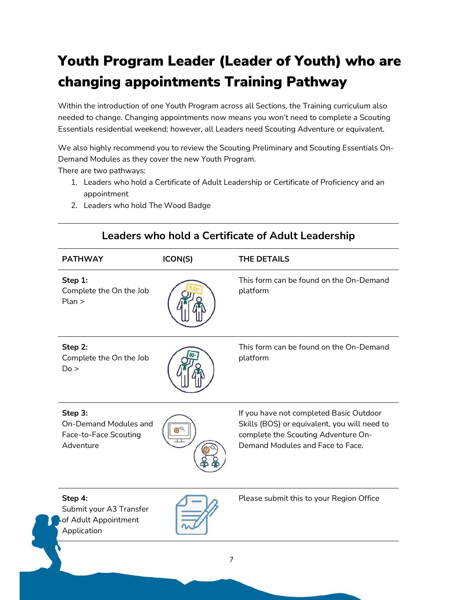#### Youth Program Leader (Leader of Youth) who are changing appointments Training Pathway

Within the introduction of one Youth Program across all Sections, the Training curriculum also needed to change. Changing appointments now means you won't need to complete a Scouting Essentials residential weekend; however, all Leaders need Scouting Adventure or equivalent.

We also highly recommend you to review the Scouting Preliminary and Scouting Essentials On-Demand Modules as they cover the new Youth Program.

There are two pathways:

- 1. Leaders who hold a Certificate of Adult Leadership or Certificate of Proficiency and an appointment
- 2. Leaders who hold The Wood Badge

| <b>PATHWAY</b>                                                                | ICON(S) | <b>THE DETAILS</b>                                                                                                                                                 |
|-------------------------------------------------------------------------------|---------|--------------------------------------------------------------------------------------------------------------------------------------------------------------------|
| Step 1:<br>Complete the On the Job<br>Plan                                    |         | This form can be found on the On-Demand<br>platform                                                                                                                |
| Step 2:<br>Complete the On the Job<br>Do >                                    |         | This form can be found on the On-Demand<br>platform                                                                                                                |
| Step 3:<br><b>On-Demand Modules and</b><br>Face-to-Face Scouting<br>Adventure |         | If you have not completed Basic Outdoor<br>Skills (BOS) or equivalent, you will need to<br>complete the Scouting Adventure On-<br>Demand Modules and Face to Face. |
| Step 4:<br>Submit your A3 Transfer<br>of Adult Appointment<br>Application     |         | Please submit this to your Region Office                                                                                                                           |

#### Leaders who hold a Certificate of Adult Leadership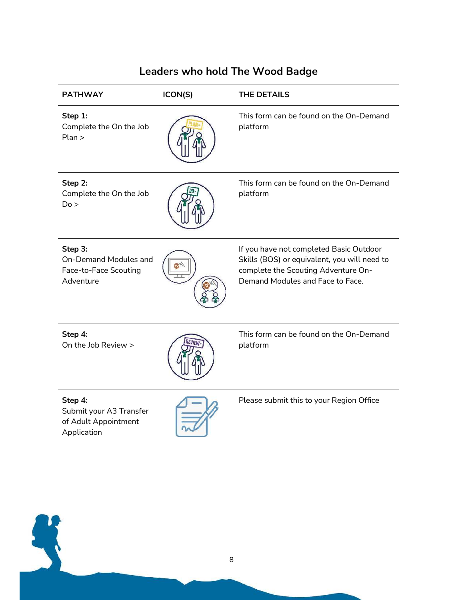| <b>Leaders who hold The Wood Badge</b>                                    |         |                                                                                                                                                                    |  |
|---------------------------------------------------------------------------|---------|--------------------------------------------------------------------------------------------------------------------------------------------------------------------|--|
| <b>PATHWAY</b>                                                            | ICON(S) | <b>THE DETAILS</b>                                                                                                                                                 |  |
| Step 1:<br>Complete the On the Job<br>Plan                                |         | This form can be found on the On-Demand<br>platform                                                                                                                |  |
| Step 2:<br>Complete the On the Job<br>Do >                                |         | This form can be found on the On-Demand<br>platform                                                                                                                |  |
| Step 3:<br>On-Demand Modules and<br>Face-to-Face Scouting<br>Adventure    |         | If you have not completed Basic Outdoor<br>Skills (BOS) or equivalent, you will need to<br>complete the Scouting Adventure On-<br>Demand Modules and Face to Face. |  |
| Step 4:<br>On the Job Review >                                            |         | This form can be found on the On-Demand<br>platform                                                                                                                |  |
| Step 4:<br>Submit your A3 Transfer<br>of Adult Appointment<br>Application |         | Please submit this to your Region Office                                                                                                                           |  |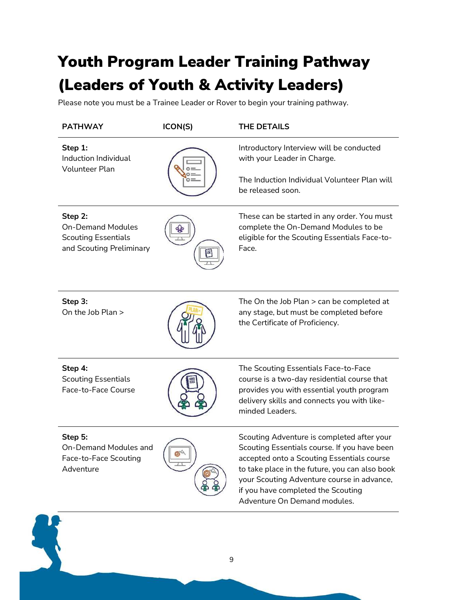### Youth Program Leader Training Pathway (Leaders of Youth & Activity Leaders)

Please note you must be a Trainee Leader or Rover to begin your training pathway.

| <b>PATHWAY</b>                                                                                | ICON(S) | <b>THE DETAILS</b>                                                                                                                                                                                                                                                                                             |
|-----------------------------------------------------------------------------------------------|---------|----------------------------------------------------------------------------------------------------------------------------------------------------------------------------------------------------------------------------------------------------------------------------------------------------------------|
| Step 1:<br>Induction Individual<br><b>Volunteer Plan</b>                                      |         | Introductory Interview will be conducted<br>with your Leader in Charge.                                                                                                                                                                                                                                        |
|                                                                                               |         | The Induction Individual Volunteer Plan will<br>be released soon.                                                                                                                                                                                                                                              |
| Step 2:<br><b>On-Demand Modules</b><br><b>Scouting Essentials</b><br>and Scouting Preliminary |         | These can be started in any order. You must<br>complete the On-Demand Modules to be<br>eligible for the Scouting Essentials Face-to-<br>Face.                                                                                                                                                                  |
| Step 3:<br>On the Job Plan >                                                                  |         | The On the Job Plan > can be completed at<br>any stage, but must be completed before<br>the Certificate of Proficiency.                                                                                                                                                                                        |
| Step 4:<br><b>Scouting Essentials</b><br>Face-to-Face Course                                  |         | The Scouting Essentials Face-to-Face<br>course is a two-day residential course that<br>provides you with essential youth program<br>delivery skills and connects you with like-<br>minded Leaders.                                                                                                             |
| Step 5:<br>On-Demand Modules and<br>Face-to-Face Scouting<br>Adventure                        |         | Scouting Adventure is completed after your<br>Scouting Essentials course. If you have been<br>accepted onto a Scouting Essentials course<br>to take place in the future, you can also book<br>your Scouting Adventure course in advance,<br>if you have completed the Scouting<br>Adventure On Demand modules. |
|                                                                                               |         |                                                                                                                                                                                                                                                                                                                |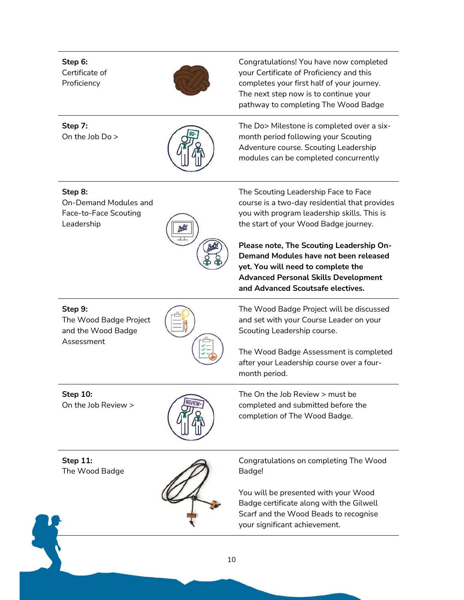Step 6: Certificate of Proficiency Congratulations! You have now completed your Certificate of Proficiency and this completes your first half of your journey. The next step now is to continue your pathway to completing The Wood Badge Step 7: On the Job Do > The Do> Milestone is completed over a sixmonth period following your Scouting Adventure course. Scouting Leadership modules can be completed concurrently Step 8: On-Demand Modules and Face-to-Face Scouting Leadership The Scouting Leadership Face to Face course is a two-day residential that provides you with program leadership skills. This is the start of your Wood Badge journey. Please note, The Scouting Leadership On-Demand Modules have not been released yet. You will need to complete the Advanced Personal Skills Development and Advanced Scoutsafe electives. Step 9: The Wood Badge Project and the Wood Badge Assessment The Wood Badge Project will be discussed and set with your Course Leader on your Scouting Leadership course. The Wood Badge Assessment is completed after your Leadership course over a fourmonth period. Step 10: On the Job Review > The On the Job Review > must be completed and submitted before the completion of The Wood Badge. Step 11: The Wood Badge Congratulations on completing The Wood Badge! You will be presented with your Wood Badge certificate along with the Gilwell Scarf and the Wood Beads to recognise your significant achievement.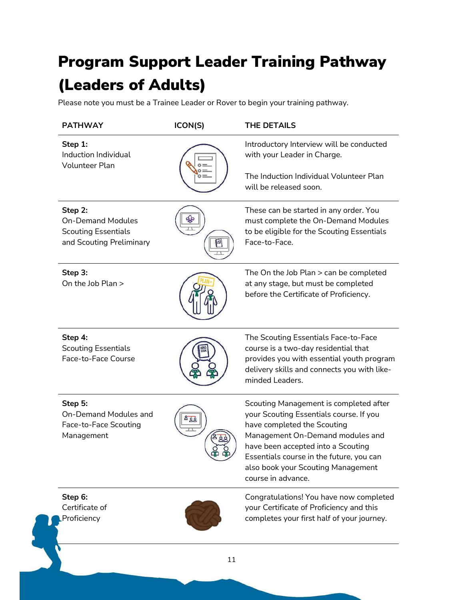### Program Support Leader Training Pathway (Leaders of Adults)

Please note you must be a Trainee Leader or Rover to begin your training pathway.

| <b>PATHWAY</b>                                                                                | ICON(S) | <b>THE DETAILS</b>                                                                                                                                                                                                                                                                                 |
|-----------------------------------------------------------------------------------------------|---------|----------------------------------------------------------------------------------------------------------------------------------------------------------------------------------------------------------------------------------------------------------------------------------------------------|
| Step 1:<br>Induction Individual<br><b>Volunteer Plan</b>                                      |         | Introductory Interview will be conducted<br>with your Leader in Charge.                                                                                                                                                                                                                            |
|                                                                                               |         | The Induction Individual Volunteer Plan<br>will be released soon.                                                                                                                                                                                                                                  |
| Step 2:<br><b>On-Demand Modules</b><br><b>Scouting Essentials</b><br>and Scouting Preliminary |         | These can be started in any order. You<br>must complete the On-Demand Modules<br>to be eligible for the Scouting Essentials<br>Face-to-Face.                                                                                                                                                       |
| Step 3:<br>On the Job Plan >                                                                  |         | The On the Job Plan > can be completed<br>at any stage, but must be completed<br>before the Certificate of Proficiency.                                                                                                                                                                            |
| Step 4:<br><b>Scouting Essentials</b><br>Face-to-Face Course                                  |         | The Scouting Essentials Face-to-Face<br>course is a two-day residential that<br>provides you with essential youth program<br>delivery skills and connects you with like-<br>minded Leaders.                                                                                                        |
| Step 5:<br><b>On-Demand Modules and</b><br>Face-to-Face Scouting<br>Management                | 888     | Scouting Management is completed after<br>your Scouting Essentials course. If you<br>have completed the Scouting<br>Management On-Demand modules and<br>have been accepted into a Scouting<br>Essentials course in the future, you can<br>also book your Scouting Management<br>course in advance. |
| Step 6:<br>Certificate of<br>Proficiency                                                      |         | Congratulations! You have now completed<br>your Certificate of Proficiency and this<br>completes your first half of your journey.                                                                                                                                                                  |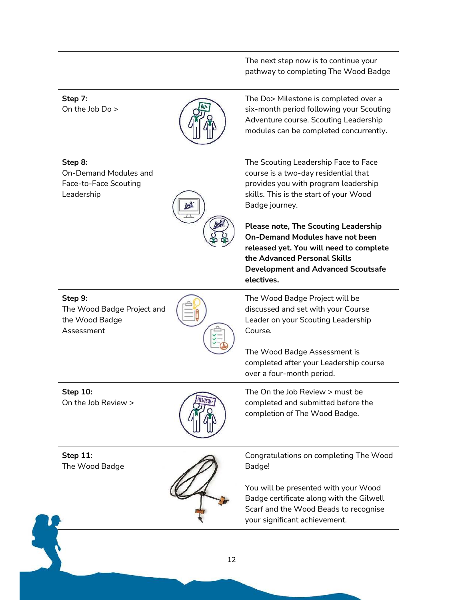The next step now is to continue your pathway to completing The Wood Badge

Step 7: On the Job Do >



The Do> Milestone is completed over a six-month period following your Scouting Adventure course. Scouting Leadership modules can be completed concurrently.

Step 8:

On-Demand Modules and Face-to-Face Scouting Leadership



The Scouting Leadership Face to Face course is a two-day residential that provides you with program leadership skills. This is the start of your Wood Badge journey.

Please note, The Scouting Leadership On-Demand Modules have not been released yet. You will need to complete the Advanced Personal Skills Development and Advanced Scoutsafe electives.

Step 9:

The Wood Badge Project and the Wood Badge Assessment



The Wood Badge Project will be discussed and set with your Course Leader on your Scouting Leadership Course.

The Wood Badge Assessment is completed after your Leadership course over a four-month period.

Step 10: On the Job Review >



The On the Job Review > must be completed and submitted before the completion of The Wood Badge.

Step 11: The Wood Badge



Congratulations on completing The Wood Badge!

You will be presented with your Wood Badge certificate along with the Gilwell Scarf and the Wood Beads to recognise your significant achievement.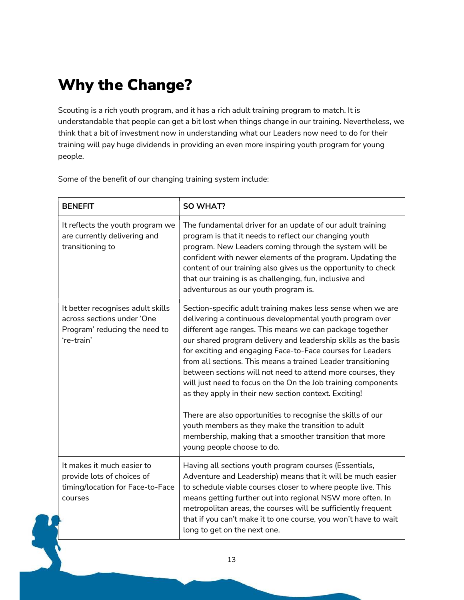### Why the Change?

Scouting is a rich youth program, and it has a rich adult training program to match. It is understandable that people can get a bit lost when things change in our training. Nevertheless, we think that a bit of investment now in understanding what our Leaders now need to do for their training will pay huge dividends in providing an even more inspiring youth program for young people.

Some of the benefit of our changing training system include:

| <b>BENEFIT</b>                                                                                                 | <b>SO WHAT?</b>                                                                                                                                                                                                                                                                                                                                                                                                                                                                                                                                                                                                                                                                                                                                                                             |
|----------------------------------------------------------------------------------------------------------------|---------------------------------------------------------------------------------------------------------------------------------------------------------------------------------------------------------------------------------------------------------------------------------------------------------------------------------------------------------------------------------------------------------------------------------------------------------------------------------------------------------------------------------------------------------------------------------------------------------------------------------------------------------------------------------------------------------------------------------------------------------------------------------------------|
| It reflects the youth program we<br>are currently delivering and<br>transitioning to                           | The fundamental driver for an update of our adult training<br>program is that it needs to reflect our changing youth<br>program. New Leaders coming through the system will be<br>confident with newer elements of the program. Updating the<br>content of our training also gives us the opportunity to check<br>that our training is as challenging, fun, inclusive and<br>adventurous as our youth program is.                                                                                                                                                                                                                                                                                                                                                                           |
| It better recognises adult skills<br>across sections under 'One<br>Program' reducing the need to<br>'re-train' | Section-specific adult training makes less sense when we are<br>delivering a continuous developmental youth program over<br>different age ranges. This means we can package together<br>our shared program delivery and leadership skills as the basis<br>for exciting and engaging Face-to-Face courses for Leaders<br>from all sections. This means a trained Leader transitioning<br>between sections will not need to attend more courses, they<br>will just need to focus on the On the Job training components<br>as they apply in their new section context. Exciting!<br>There are also opportunities to recognise the skills of our<br>youth members as they make the transition to adult<br>membership, making that a smoother transition that more<br>young people choose to do. |
| It makes it much easier to<br>provide lots of choices of<br>timing/location for Face-to-Face<br>courses        | Having all sections youth program courses (Essentials,<br>Adventure and Leadership) means that it will be much easier<br>to schedule viable courses closer to where people live. This<br>means getting further out into regional NSW more often. In<br>metropolitan areas, the courses will be sufficiently frequent<br>that if you can't make it to one course, you won't have to wait<br>long to get on the next one.                                                                                                                                                                                                                                                                                                                                                                     |
|                                                                                                                | 13                                                                                                                                                                                                                                                                                                                                                                                                                                                                                                                                                                                                                                                                                                                                                                                          |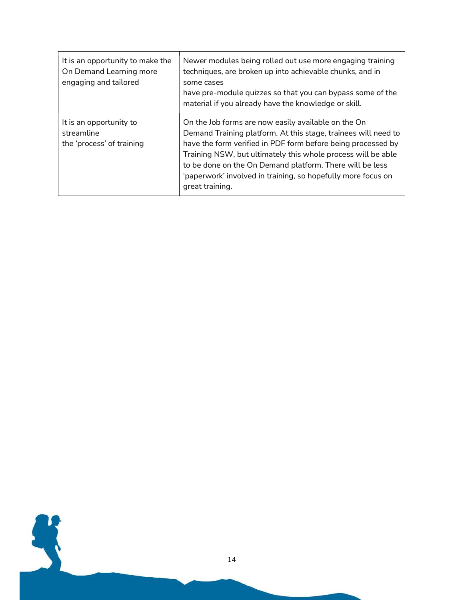| It is an opportunity to make the<br>On Demand Learning more<br>engaging and tailored | Newer modules being rolled out use more engaging training<br>techniques, are broken up into achievable chunks, and in<br>some cases<br>have pre-module quizzes so that you can bypass some of the<br>material if you already have the knowledge or skill.                                                                                                                                            |
|--------------------------------------------------------------------------------------|------------------------------------------------------------------------------------------------------------------------------------------------------------------------------------------------------------------------------------------------------------------------------------------------------------------------------------------------------------------------------------------------------|
| It is an opportunity to<br>streamline<br>the 'process' of training                   | On the Job forms are now easily available on the On<br>Demand Training platform. At this stage, trainees will need to<br>have the form verified in PDF form before being processed by<br>Training NSW, but ultimately this whole process will be able<br>to be done on the On Demand platform. There will be less<br>'paperwork' involved in training, so hopefully more focus on<br>great training. |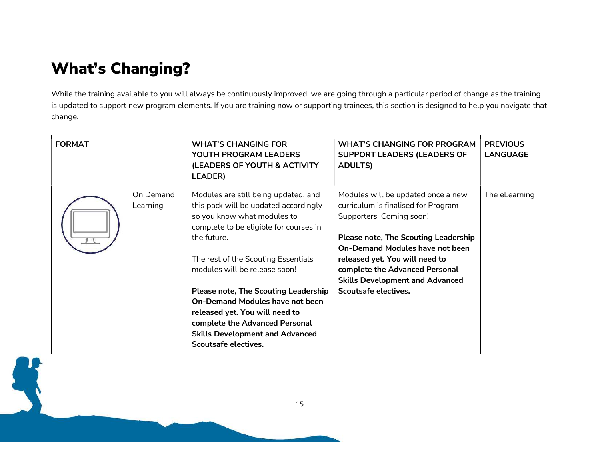#### What's Changing?

While the training available to you will always be continuously improved, we are going through a particular period of change as the training is updated to support new program elements. If you are training now or supporting trainees, this section is designed to help you navigate that change.

| <b>FORMAT</b> |                       | <b>WHAT'S CHANGING FOR</b><br>YOUTH PROGRAM LEADERS<br>(LEADERS OF YOUTH & ACTIVITY<br><b>LEADER)</b>                                                                                                                                                                                                                                                                                                                                                                        | <b>WHAT'S CHANGING FOR PROGRAM</b><br><b>SUPPORT LEADERS (LEADERS OF</b><br><b>ADULTS)</b>                                                                                                                                                                                                                                           | <b>PREVIOUS</b><br><b>LANGUAGE</b> |
|---------------|-----------------------|------------------------------------------------------------------------------------------------------------------------------------------------------------------------------------------------------------------------------------------------------------------------------------------------------------------------------------------------------------------------------------------------------------------------------------------------------------------------------|--------------------------------------------------------------------------------------------------------------------------------------------------------------------------------------------------------------------------------------------------------------------------------------------------------------------------------------|------------------------------------|
|               | On Demand<br>Learning | Modules are still being updated, and<br>this pack will be updated accordingly<br>so you know what modules to<br>complete to be eligible for courses in<br>the future.<br>The rest of the Scouting Essentials<br>modules will be release soon!<br><b>Please note, The Scouting Leadership</b><br><b>On-Demand Modules have not been</b><br>released yet. You will need to<br>complete the Advanced Personal<br><b>Skills Development and Advanced</b><br>Scoutsafe electives. | Modules will be updated once a new<br>curriculum is finalised for Program<br>Supporters. Coming soon!<br><b>Please note, The Scouting Leadership</b><br><b>On-Demand Modules have not been</b><br>released yet. You will need to<br>complete the Advanced Personal<br><b>Skills Development and Advanced</b><br>Scoutsafe electives. | The eLearning                      |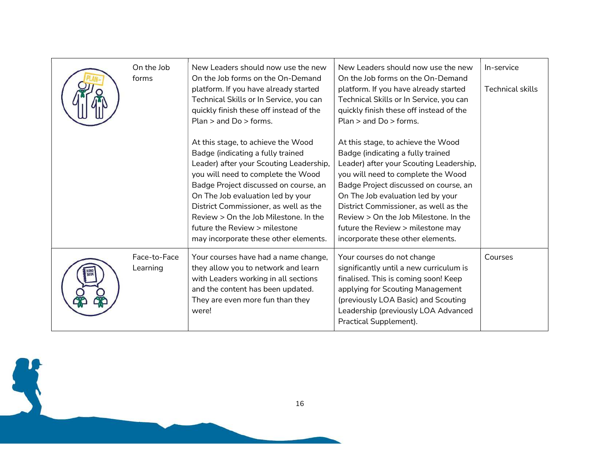| On the Job<br>forms      | New Leaders should now use the new<br>On the Job forms on the On-Demand<br>platform. If you have already started<br>Technical Skills or In Service, you can<br>quickly finish these off instead of the<br>Plan $>$ and Do $>$ forms.                                                                                                                                                               | New Leaders should now use the new<br>On the Job forms on the On-Demand<br>platform. If you have already started<br>Technical Skills or In Service, you can<br>quickly finish these off instead of the<br>Plan $>$ and Do $>$ forms.                                                                                                                                                               | In-service<br><b>Technical skills</b> |
|--------------------------|----------------------------------------------------------------------------------------------------------------------------------------------------------------------------------------------------------------------------------------------------------------------------------------------------------------------------------------------------------------------------------------------------|----------------------------------------------------------------------------------------------------------------------------------------------------------------------------------------------------------------------------------------------------------------------------------------------------------------------------------------------------------------------------------------------------|---------------------------------------|
|                          | At this stage, to achieve the Wood<br>Badge (indicating a fully trained<br>Leader) after your Scouting Leadership,<br>you will need to complete the Wood<br>Badge Project discussed on course, an<br>On The Job evaluation led by your<br>District Commissioner, as well as the<br>Review > On the Job Milestone, In the<br>future the Review > milestone<br>may incorporate these other elements. | At this stage, to achieve the Wood<br>Badge (indicating a fully trained<br>Leader) after your Scouting Leadership,<br>you will need to complete the Wood<br>Badge Project discussed on course, an<br>On The Job evaluation led by your<br>District Commissioner, as well as the<br>Review > On the Job Milestone, In the<br>future the Review > milestone may<br>incorporate these other elements. |                                       |
| Face-to-Face<br>Learning | Your courses have had a name change,<br>they allow you to network and learn<br>with Leaders working in all sections<br>and the content has been updated.<br>They are even more fun than they<br>were!                                                                                                                                                                                              | Your courses do not change<br>significantly until a new curriculum is<br>finalised. This is coming soon! Keep<br>applying for Scouting Management<br>(previously LOA Basic) and Scouting<br>Leadership (previously LOA Advanced<br>Practical Supplement).                                                                                                                                          | Courses                               |

16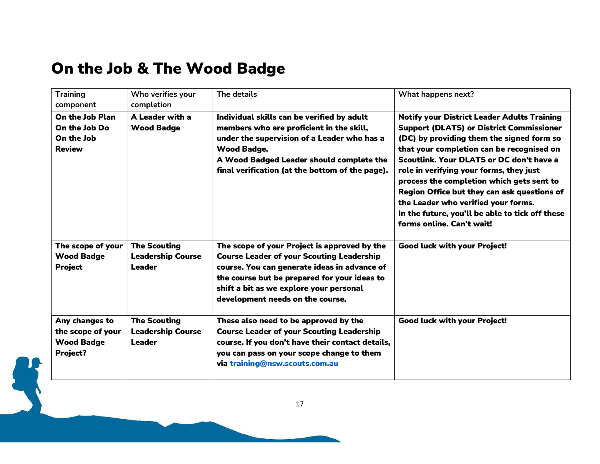#### On the Job & The Wood Badge

| <b>Training</b><br>component                                         | Who verifies your<br>completion                                  | The details                                                                                                                                                                                                                                                                     | What happens next?                                                                                                                                                                                                                                                                                                                                                                                                                                                                                        |  |
|----------------------------------------------------------------------|------------------------------------------------------------------|---------------------------------------------------------------------------------------------------------------------------------------------------------------------------------------------------------------------------------------------------------------------------------|-----------------------------------------------------------------------------------------------------------------------------------------------------------------------------------------------------------------------------------------------------------------------------------------------------------------------------------------------------------------------------------------------------------------------------------------------------------------------------------------------------------|--|
| On the Job Plan<br>On the Job Do<br>On the Job<br><b>Review</b>      | A Leader with a<br><b>Wood Badge</b>                             | Individual skills can be verified by adult<br>members who are proficient in the skill,<br>under the supervision of a Leader who has a<br><b>Wood Badge.</b><br>A Wood Badged Leader should complete the<br>final verification (at the bottom of the page).                      | <b>Notify your District Leader Adults Training</b><br><b>Support (DLATS) or District Commissioner</b><br>(DC) by providing them the signed form so<br>that your completion can be recognised on<br>Scoutlink, Your DLATS or DC don't have a<br>role in verifying your forms, they just<br>process the completion which gets sent to<br>Region Office but they can ask questions of<br>the Leader who verified your forms.<br>In the future, you'll be able to tick off these<br>forms online. Can't wait! |  |
| The scope of your<br><b>Wood Badge</b><br><b>Project</b>             | <b>The Scouting</b><br><b>Leadership Course</b><br><b>Leader</b> | The scope of your Project is approved by the<br><b>Course Leader of your Scouting Leadership</b><br>course. You can generate ideas in advance of<br>the course but be prepared for your ideas to<br>shift a bit as we explore your personal<br>development needs on the course. | <b>Good luck with your Project!</b>                                                                                                                                                                                                                                                                                                                                                                                                                                                                       |  |
| Any changes to<br>the scope of your<br><b>Wood Badge</b><br>Project? | <b>The Scouting</b><br><b>Leadership Course</b><br><b>Leader</b> | These also need to be approved by the<br><b>Course Leader of your Scouting Leadership</b><br>course. If you don't have their contact details,<br>you can pass on your scope change to them<br>via training@nsw.scouts.com.au                                                    | Good luck with your Project!                                                                                                                                                                                                                                                                                                                                                                                                                                                                              |  |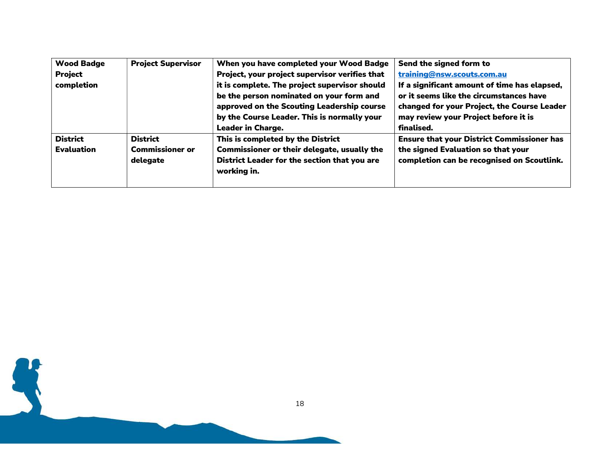| <b>Wood Badge</b> | <b>Project Supervisor</b> | When you have completed your Wood Badge            | Send the signed form to                           |
|-------------------|---------------------------|----------------------------------------------------|---------------------------------------------------|
| <b>Project</b>    |                           | Project, your project supervisor verifies that     | training@nsw.scouts.com.au                        |
| completion        |                           | it is complete. The project supervisor should      | If a significant amount of time has elapsed,      |
|                   |                           | be the person nominated on your form and           | or it seems like the circumstances have           |
|                   |                           | approved on the Scouting Leadership course         | changed for your Project, the Course Leader       |
|                   |                           | by the Course Leader. This is normally your        | may review your Project before it is              |
|                   |                           | <b>Leader in Charge.</b>                           | finalised.                                        |
| <b>District</b>   | <b>District</b>           | This is completed by the District                  | <b>Ensure that your District Commissioner has</b> |
| <b>Evaluation</b> | <b>Commissioner or</b>    | <b>Commissioner or their delegate, usually the</b> | the signed Evaluation so that your                |
|                   | delegate                  | District Leader for the section that you are       | completion can be recognised on Scoutlink.        |
|                   |                           | working in.                                        |                                                   |
|                   |                           |                                                    |                                                   |

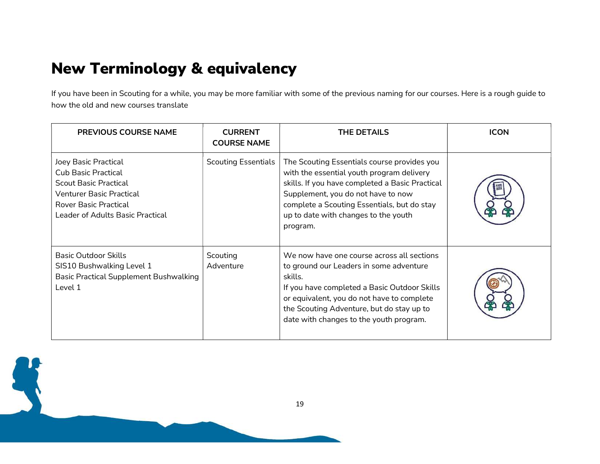#### New Terminology & equivalency

If you have been in Scouting for a while, you may be more familiar with some of the previous naming for our courses. Here is a rough guide to how the old and new courses translate

| <b>PREVIOUS COURSE NAME</b>                                                                                                                                          | <b>CURRENT</b><br><b>COURSE NAME</b> | <b>THE DETAILS</b>                                                                                                                                                                                                                                                                     | <b>ICON</b> |
|----------------------------------------------------------------------------------------------------------------------------------------------------------------------|--------------------------------------|----------------------------------------------------------------------------------------------------------------------------------------------------------------------------------------------------------------------------------------------------------------------------------------|-------------|
| Joey Basic Practical<br>Cub Basic Practical<br><b>Scout Basic Practical</b><br>Venturer Basic Practical<br>Rover Basic Practical<br>Leader of Adults Basic Practical | <b>Scouting Essentials</b>           | The Scouting Essentials course provides you<br>with the essential youth program delivery<br>skills. If you have completed a Basic Practical<br>Supplement, you do not have to now<br>complete a Scouting Essentials, but do stay<br>up to date with changes to the youth<br>program.   |             |
| <b>Basic Outdoor Skills</b><br>SIS10 Bushwalking Level 1<br><b>Basic Practical Supplement Bushwalking</b><br>Level 1                                                 | Scouting<br>Adventure                | We now have one course across all sections<br>to ground our Leaders in some adventure<br>skills.<br>If you have completed a Basic Outdoor Skills<br>or equivalent, you do not have to complete<br>the Scouting Adventure, but do stay up to<br>date with changes to the youth program. |             |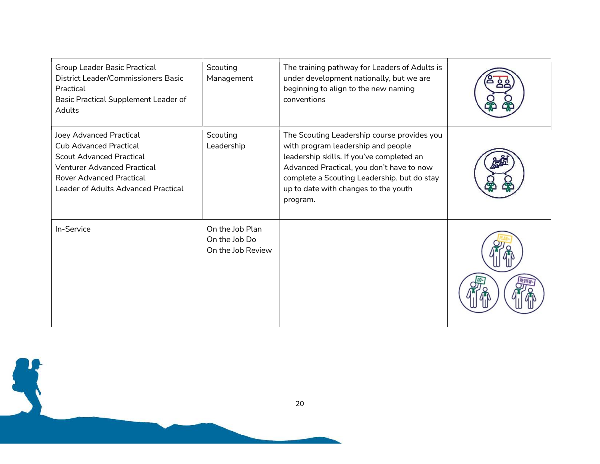| Group Leader Basic Practical<br>District Leader/Commissioners Basic<br>Practical<br>Basic Practical Supplement Leader of<br>Adults                                                                          | Scouting<br>Management                                | The training pathway for Leaders of Adults is<br>under development nationally, but we are<br>beginning to align to the new naming<br>conventions                                                                                                                               |  |
|-------------------------------------------------------------------------------------------------------------------------------------------------------------------------------------------------------------|-------------------------------------------------------|--------------------------------------------------------------------------------------------------------------------------------------------------------------------------------------------------------------------------------------------------------------------------------|--|
| Joey Advanced Practical<br><b>Cub Advanced Practical</b><br><b>Scout Advanced Practical</b><br><b>Venturer Advanced Practical</b><br><b>Rover Advanced Practical</b><br>Leader of Adults Advanced Practical | Scouting<br>Leadership                                | The Scouting Leadership course provides you<br>with program leadership and people<br>leadership skills. If you've completed an<br>Advanced Practical, you don't have to now<br>complete a Scouting Leadership, but do stay<br>up to date with changes to the youth<br>program. |  |
| In-Service                                                                                                                                                                                                  | On the Job Plan<br>On the Job Do<br>On the Job Review |                                                                                                                                                                                                                                                                                |  |

20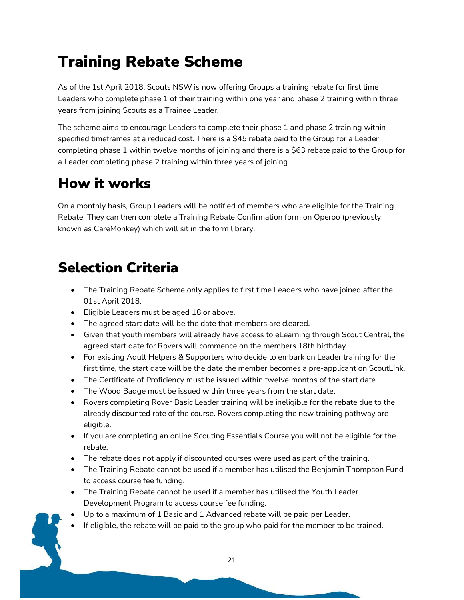### Training Rebate Scheme

As of the 1st April 2018, Scouts NSW is now offering Groups a training rebate for first time Leaders who complete phase 1 of their training within one year and phase 2 training within three years from joining Scouts as a Trainee Leader.

The scheme aims to encourage Leaders to complete their phase 1 and phase 2 training within specified timeframes at a reduced cost. There is a \$45 rebate paid to the Group for a Leader completing phase 1 within twelve months of joining and there is a \$63 rebate paid to the Group for a Leader completing phase 2 training within three years of joining.

#### How it works

On a monthly basis, Group Leaders will be notified of members who are eligible for the Training Rebate. They can then complete a Training Rebate Confirmation form on Operoo (previously known as CareMonkey) which will sit in the form library.

#### Selection Criteria

- The Training Rebate Scheme only applies to first time Leaders who have joined after the 01st April 2018.
- Eligible Leaders must be aged 18 or above.
- The agreed start date will be the date that members are cleared.
- Given that youth members will already have access to eLearning through Scout Central, the agreed start date for Rovers will commence on the members 18th birthday.
- For existing Adult Helpers & Supporters who decide to embark on Leader training for the first time, the start date will be the date the member becomes a pre-applicant on ScoutLink.
- The Certificate of Proficiency must be issued within twelve months of the start date.
- The Wood Badge must be issued within three years from the start date.
- Rovers completing Rover Basic Leader training will be ineligible for the rebate due to the already discounted rate of the course. Rovers completing the new training pathway are eligible.
- If you are completing an online Scouting Essentials Course you will not be eligible for the rebate.
- The rebate does not apply if discounted courses were used as part of the training.
- The Training Rebate cannot be used if a member has utilised the Benjamin Thompson Fund to access course fee funding.
- The Training Rebate cannot be used if a member has utilised the Youth Leader Development Program to access course fee funding.
- Up to a maximum of 1 Basic and 1 Advanced rebate will be paid per Leader.
- If eligible, the rebate will be paid to the group who paid for the member to be trained.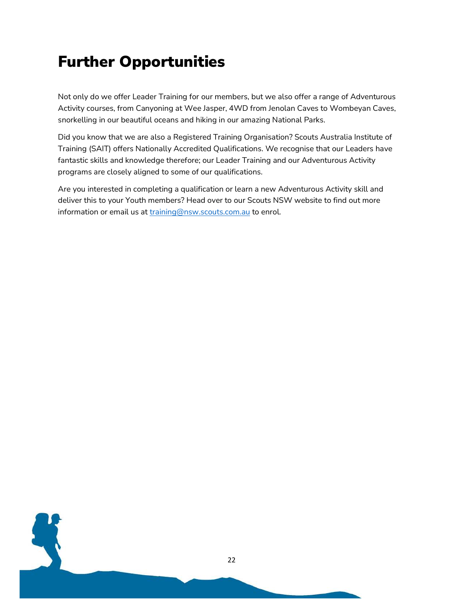#### Further Opportunities

Not only do we offer Leader Training for our members, but we also offer a range of Adventurous Activity courses, from Canyoning at Wee Jasper, 4WD from Jenolan Caves to Wombeyan Caves, snorkelling in our beautiful oceans and hiking in our amazing National Parks.

Did you know that we are also a Registered Training Organisation? Scouts Australia Institute of Training (SAIT) offers Nationally Accredited Qualifications. We recognise that our Leaders have fantastic skills and knowledge therefore; our Leader Training and our Adventurous Activity programs are closely aligned to some of our qualifications.

Are you interested in completing a qualification or learn a new Adventurous Activity skill and deliver this to your Youth members? Head over to our Scouts NSW website to find out more information or email us at training@nsw.scouts.com.au to enrol.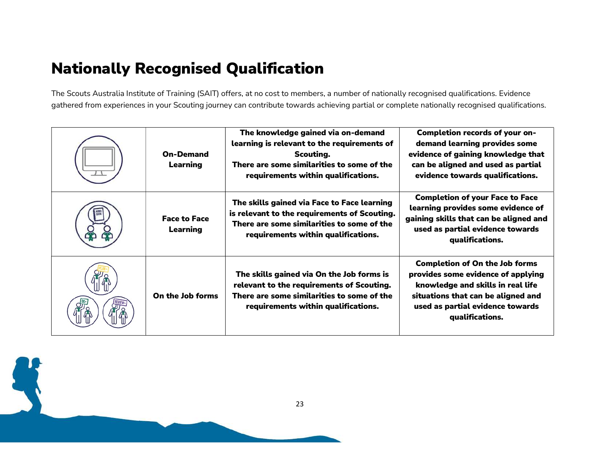#### Nationally Recognised Qualification

The Scouts Australia Institute of Training (SAIT) offers, at no cost to members, a number of nationally recognised qualifications. Evidence gathered from experiences in your Scouting journey can contribute towards achieving partial or complete nationally recognised qualifications.

|  | <b>On-Demand</b><br><b>Learning</b>    | The knowledge gained via on-demand<br>learning is relevant to the requirements of<br>Scouting.<br>There are some similarities to some of the<br>requirements within qualifications. | <b>Completion records of your on-</b><br>demand learning provides some<br>evidence of gaining knowledge that<br>can be aligned and used as partial<br>evidence towards qualifications.                        |
|--|----------------------------------------|-------------------------------------------------------------------------------------------------------------------------------------------------------------------------------------|---------------------------------------------------------------------------------------------------------------------------------------------------------------------------------------------------------------|
|  | <b>Face to Face</b><br><b>Learning</b> | The skills gained via Face to Face learning<br>is relevant to the requirements of Scouting.<br>There are some similarities to some of the<br>requirements within qualifications.    | <b>Completion of your Face to Face</b><br>learning provides some evidence of<br>gaining skills that can be aligned and<br>used as partial evidence towards<br>qualifications.                                 |
|  | On the Job forms                       | The skills gained via On the Job forms is<br>relevant to the requirements of Scouting.<br>There are some similarities to some of the<br>requirements within qualifications.         | <b>Completion of On the Job forms</b><br>provides some evidence of applying<br>knowledge and skills in real life<br>situations that can be aligned and<br>used as partial evidence towards<br>qualifications. |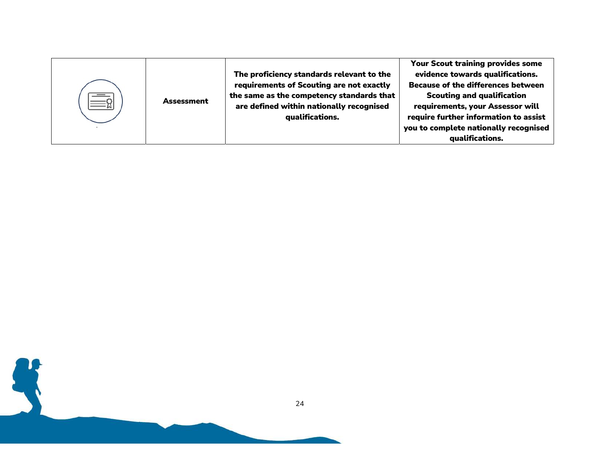| <b>Assessment</b> | The proficiency standards relevant to the<br>requirements of Scouting are not exactly<br>the same as the competency standards that<br>are defined within nationally recognised<br>qualifications. | Your Scout training provides some<br>evidence towards qualifications.<br><b>Because of the differences between</b><br><b>Scouting and qualification</b><br>requirements, your Assessor will<br>require further information to assist<br>you to complete nationally recognised |
|-------------------|---------------------------------------------------------------------------------------------------------------------------------------------------------------------------------------------------|-------------------------------------------------------------------------------------------------------------------------------------------------------------------------------------------------------------------------------------------------------------------------------|
|                   |                                                                                                                                                                                                   | qualifications.                                                                                                                                                                                                                                                               |

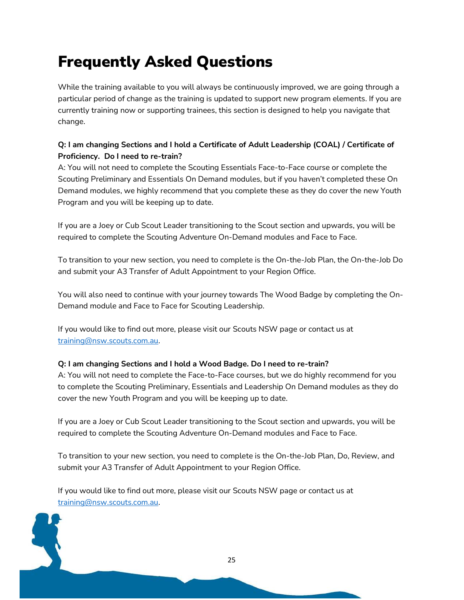### Frequently Asked Questions

While the training available to you will always be continuously improved, we are going through a particular period of change as the training is updated to support new program elements. If you are currently training now or supporting trainees, this section is designed to help you navigate that change.

#### Q: I am changing Sections and I hold a Certificate of Adult Leadership (COAL) / Certificate of Proficiency. Do I need to re-train?

A: You will not need to complete the Scouting Essentials Face-to-Face course or complete the Scouting Preliminary and Essentials On Demand modules, but if you haven't completed these On Demand modules, we highly recommend that you complete these as they do cover the new Youth Program and you will be keeping up to date.

If you are a Joey or Cub Scout Leader transitioning to the Scout section and upwards, you will be required to complete the Scouting Adventure On-Demand modules and Face to Face.

To transition to your new section, you need to complete is the On-the-Job Plan, the On-the-Job Do and submit your A3 Transfer of Adult Appointment to your Region Office.

You will also need to continue with your journey towards The Wood Badge by completing the On-Demand module and Face to Face for Scouting Leadership.

If you would like to find out more, please visit our Scouts NSW page or contact us at training@nsw.scouts.com.au.

#### Q: I am changing Sections and I hold a Wood Badge. Do I need to re-train?

A: You will not need to complete the Face-to-Face courses, but we do highly recommend for you to complete the Scouting Preliminary, Essentials and Leadership On Demand modules as they do cover the new Youth Program and you will be keeping up to date.

If you are a Joey or Cub Scout Leader transitioning to the Scout section and upwards, you will be required to complete the Scouting Adventure On-Demand modules and Face to Face.

To transition to your new section, you need to complete is the On-the-Job Plan, Do, Review, and submit your A3 Transfer of Adult Appointment to your Region Office.

If you would like to find out more, please visit our Scouts NSW page or contact us at training@nsw.scouts.com.au.